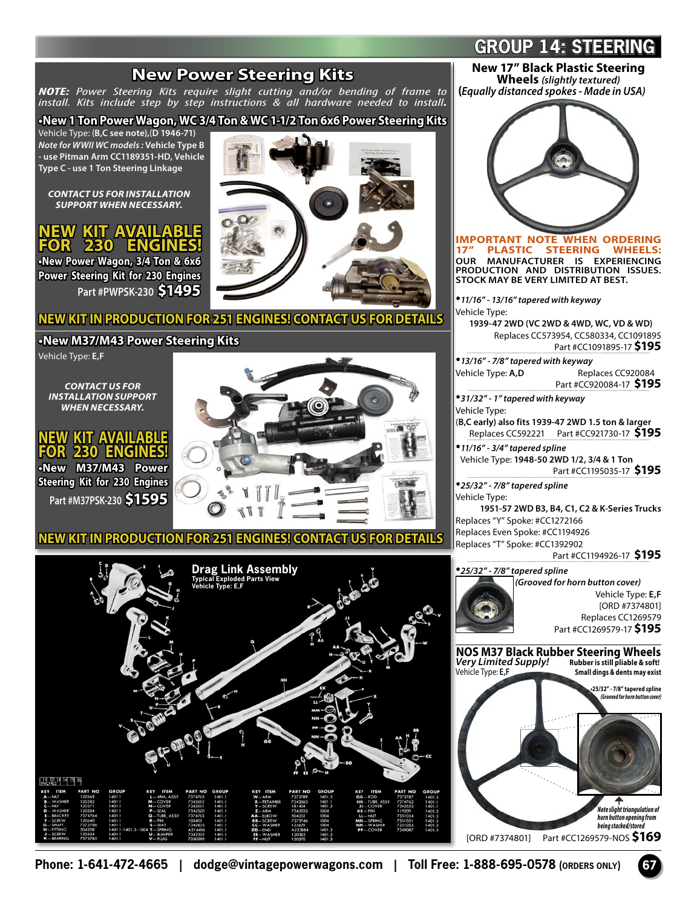## **Drag Link Assembly Exploded Parts View Vehicle Type: E,F New Power Steering Kits** *NOTE: Power Steering Kits require slight cutting and/or bending of frame to install. Kits include step by step instructions & all hardware needed to install.* **•New 1 Ton Power Wagon, WC 3/4 Ton & WC 1-1/2 Ton 6x6 Power Steering Kits** Vehicle Type: (**B,C see note),**(**D 1946-71)** *Note for WWII WC models :* **Vehicle Type B - use Pitman Arm CC1189351-HD, Vehicle Type C - use 1 Ton Steering Linkage** *CONTACT US FOR INSTALLATION SUPPORT WHEN NECESSARY.* **NEW KIT AVAILABLE 230 ENGINES! •New Power Wagon, 3/4 Ton & 6x6 Power Steering Kit for 230 Engines Part #PWPSK-230 \$1495 NEW KIT IN PRODUCTION FOR 251 ENGINES! CONTACT US FOR DETAILS •New M37/M43 Power Steering Kits** Vehicle Type: **E,F** *CONTACT US FOR INSTALLATION SUPPORT WHEN NECESSARY.* **NEW KIT AVAILABLE FOR 230 ENGINES! •New M37/M43 Power Steering Kit for 230 Engines Part #M37PSK-230 \$1595 NEW KIT IN PRODUCTION FOR 251 ENGINES! CONTACT US FOR DETAILS New 17" Black Plastic Steering Wheels** *(slightly textured)*  **(***Equally distanced spokes - Made in USA)* **IMPORTANT NOTE WHEN ORDERING PLASTIC STEERING OUR MANUFACTURER IS EXPERIENCING PRODUCTION AND DISTRIBUTION ISSUES. STOCK MAY BE VERY LIMITED AT BEST.** •*11/16" - 13/16" tapered with keyway* Vehicle Type: **1939-47 2WD (VC 2WD & 4WD, WC, VD & WD)** Replaces CC573954, CC580334, CC1091895 Part #CC1091895-17 **\$195** •*13/16" - 7/8" tapered with keyway* Replaces CC920084 Part #CC920084-17 **\$195** •*31/32" - 1" tapered with keyway* Vehicle Type: (**B,C early) also fits 1939-47 2WD 1.5 ton & larger**  Replaces CC592221 Part #CC921730-17 **\$195** •*11/16" - 3/4" tapered spline* Vehicle Type: **1948-50 2WD 1/2, 3/4 & 1 Ton** Part #CC1195035-17 **\$195** •*25/32" - 7/8" tapered spline* Vehicle Type: **1951-57 2WD B3, B4, C1, C2 & K-Series Trucks**  Replaces "Y" Spoke: #CC1272166 Replaces Even Spoke: #CC1194926 Replaces "T" Spoke: #CC1392902 Part #CC1194926-17 **\$195** •*25/32" - 7/8" tapered spline (Grooved for horn button cover)* Vehicle Type: **E,F**  [ORD #7374801] Replaces CC1269579 Part #CC1269579-17 **\$195 NOS M37 Black Rubber Steering Wheels** *Very Limited Supply!*<br>Vehicle Type: **E,F Small dings & dents may exist**



**•25/32" - 7/8" tapered spline**  *(Grooved for horn button cover)*

*Note slight triangulation of horn button opening from being stacked/stored* 

[ORD #7374801] Part #CC1269579-NOS **\$169**

## **GROUP 14: STEERING**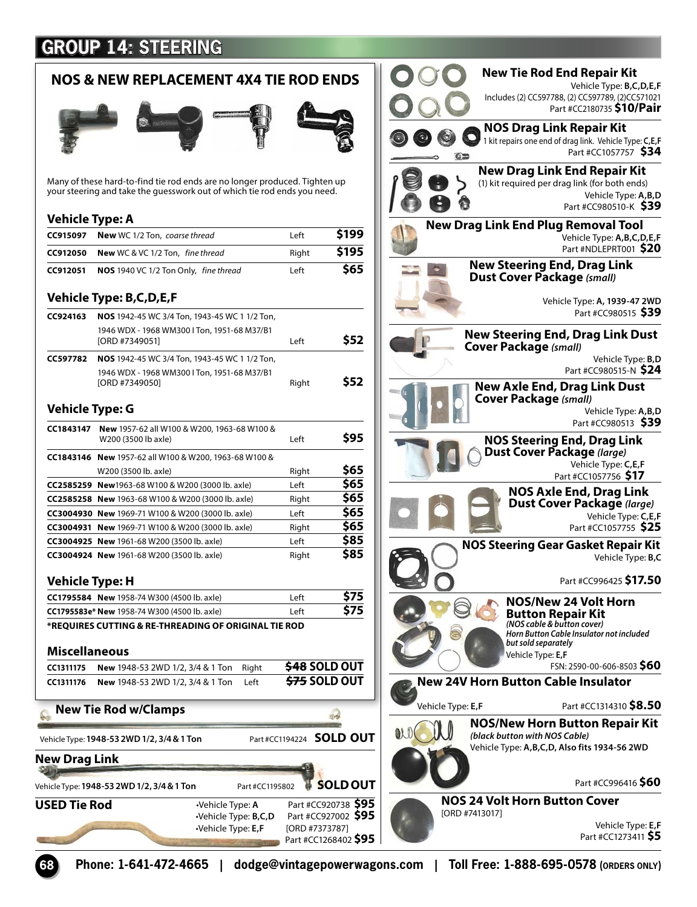## **GROUP 14: STEERING**

| <b>NOS &amp; NEW REPLACEMENT 4X4 TIE ROD ENDS</b> |                                                                                                                                                        |                          |                      |
|---------------------------------------------------|--------------------------------------------------------------------------------------------------------------------------------------------------------|--------------------------|----------------------|
|                                                   |                                                                                                                                                        |                          |                      |
|                                                   | Many of these hard-to-find tie rod ends are no longer produced. Tighten up<br>your steering and take the quesswork out of which tie rod ends you need. |                          |                      |
| Vehicle Type: A                                   |                                                                                                                                                        |                          |                      |
| CC915097                                          | <b>New</b> WC 1/2 Ton, coarse thread                                                                                                                   | Left                     | \$199                |
| CC912050                                          | New WC & VC 1/2 Ton, fine thread                                                                                                                       | Right                    | \$195                |
| CC912051                                          | NOS 1940 VC 1/2 Ton Only, fine thread                                                                                                                  | Left                     | \$65                 |
|                                                   | <b>Vehicle Type: B,C,D,E,F</b>                                                                                                                         |                          |                      |
| CC924163                                          |                                                                                                                                                        |                          |                      |
|                                                   | NOS 1942-45 WC 3/4 Ton, 1943-45 WC 1 1/2 Ton,<br>1946 WDX - 1968 WM300 I Ton, 1951-68 M37/B1                                                           |                          |                      |
|                                                   | [ORD #7349051]                                                                                                                                         | Left                     | \$52                 |
| CC597782                                          | NOS 1942-45 WC 3/4 Ton, 1943-45 WC 1 1/2 Ton,                                                                                                          |                          |                      |
|                                                   | 1946 WDX - 1968 WM300 I Ton, 1951-68 M37/B1                                                                                                            |                          |                      |
|                                                   | [ORD #7349050]                                                                                                                                         | Right                    | \$52                 |
| <b>Vehicle Type: G</b>                            |                                                                                                                                                        |                          |                      |
| CC1843147                                         | New 1957-62 all W100 & W200, 1963-68 W100 &                                                                                                            |                          |                      |
|                                                   | W200 (3500 lb axle)                                                                                                                                    | Left                     | \$95                 |
|                                                   | CC1843146 New 1957-62 all W100 & W200, 1963-68 W100 &                                                                                                  |                          |                      |
|                                                   | W200 (3500 lb. axle)                                                                                                                                   | Right                    | \$65                 |
|                                                   | CC2585259 New1963-68 W100 & W200 (3000 lb. axle)                                                                                                       | Left                     | \$65                 |
|                                                   | CC2585258 New 1963-68 W100 & W200 (3000 lb. axle)                                                                                                      | Right                    | \$65                 |
|                                                   | <b>CC3004930 New</b> 1969-71 W100 & W200 (3000 lb. axle)                                                                                               | Left                     | \$65                 |
|                                                   | <b>CC3004931 New</b> 1969-71 W100 & W200 (3000 lb. axle)                                                                                               | Right                    | \$65                 |
|                                                   | CC3004925 New 1961-68 W200 (3500 lb. axle)                                                                                                             | Left                     | \$85                 |
|                                                   | CC3004924 New 1961-68 W200 (3500 lb. axle)                                                                                                             | Right                    | \$85                 |
| <b>Vehicle Type: H</b>                            |                                                                                                                                                        |                          |                      |
|                                                   | CC1795584 New 1958-74 W300 (4500 lb. axle)                                                                                                             | Left                     | \$75                 |
|                                                   | CC1795583e* New 1958-74 W300 (4500 lb. axle)                                                                                                           | Left                     | \$75                 |
|                                                   | *REQUIRES CUTTING & RE-THREADING OF ORIGINAL TIE ROD                                                                                                   |                          |                      |
| Miscellaneous                                     |                                                                                                                                                        |                          |                      |
| CC1311175                                         | New 1948-53 2WD 1/2, 3/4 & 1 Ton<br>Right                                                                                                              |                          | <b>\$48 SOLD OUT</b> |
| CC1311176                                         | New 1948-53 2WD 1/2, 3/4 & 1 Ton<br>Left                                                                                                               |                          | <b>\$75 SOLD OUT</b> |
|                                                   | <b>New Tie Rod w/Clamps</b>                                                                                                                            |                          |                      |
|                                                   | Vehicle Type: 1948-53 2WD 1/2, 3/4 & 1 Ton                                                                                                             | Part #CC1194224 SOLD OUT |                      |
| New Drag Link                                     |                                                                                                                                                        |                          |                      |
|                                                   | Vehicle Type: <b>1948-53 2WD 1/2, 3/4 &amp; 1 Ton</b><br>Part #CC1195802                                                                               |                          | <b>SOLD OUT</b>      |
|                                                   |                                                                                                                                                        |                          | Part #CC920738 \$95  |
| USED Tie Rod                                      | ·Vehicle Type: A                                                                                                                                       |                          |                      |



**68 Phone: 1-641-472-4665 | dodge@vintagepowerwagons.com | Toll Free: 1-888-695-0578 (ORDERS ONLY)**

Part #CC1268402 **\$95**

•Vehicle Type: **E,F** [ORD #7373787]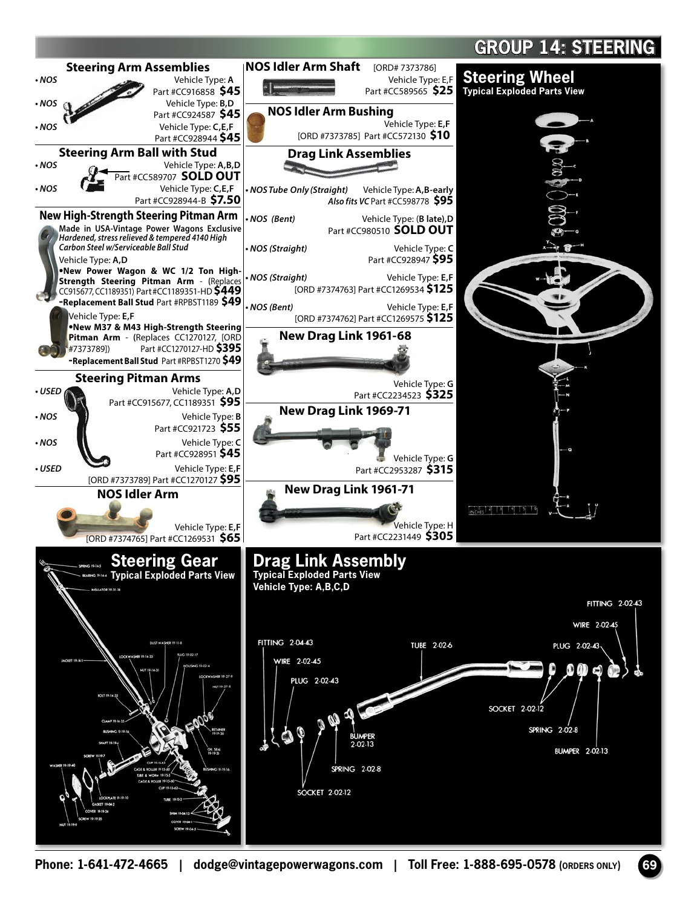## **GROUP 14: STEERING**